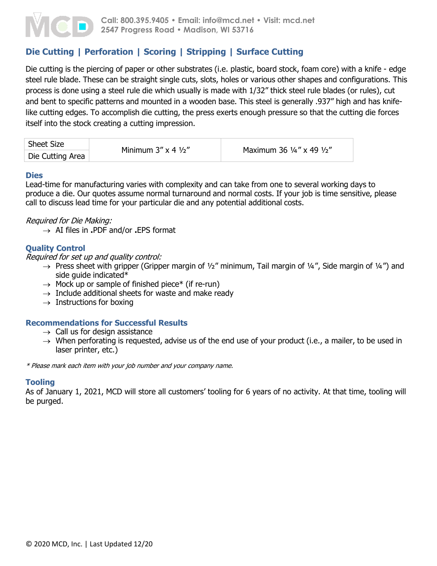

# **Die Cutting | Perforation | Scoring | Stripping | Surface Cutting**

Die cutting is the piercing of paper or other substrates (i.e. plastic, board stock, foam core) with a knife - edge steel rule blade. These can be straight single cuts, slots, holes or various other shapes and configurations. This process is done using a steel rule die which usually is made with 1/32" thick steel rule blades (or rules), cut and bent to specific patterns and mounted in a wooden base. This steel is generally .937" high and has knifelike cutting edges. To accomplish die cutting, the press exerts enough pressure so that the cutting die forces itself into the stock creating a cutting impression.

| Sheet Size       | Minimum $3'' \times 4 \frac{1}{2}$ | Maximum 36 1/4" x 49 1/2" |  |
|------------------|------------------------------------|---------------------------|--|
| Die Cutting Area |                                    |                           |  |

#### **Dies**

Lead-time for manufacturing varies with complexity and can take from one to several working days to produce a die. Our quotes assume normal turnaround and normal costs. If your job is time sensitive, please call to discuss lead time for your particular die and any potential additional costs.

### Required for Die Making:

AI files in **.**PDF and/or **.**EPS format

## **Quality Control**

Required for set up and quality control:

- $\rightarrow$  Press sheet with gripper (Gripper margin of 1/2" minimum, Tail margin of 1/4", Side margin of 1/4") and side guide indicated\*
- $\rightarrow$  Mock up or sample of finished piece\* (if re-run)
- $\rightarrow$  Include additional sheets for waste and make ready
- $\rightarrow$  Instructions for boxing

# **Recommendations for Successful Results**

- $\rightarrow$  Call us for design assistance
- $\rightarrow$  When perforating is requested, advise us of the end use of your product (i.e., a mailer, to be used in laser printer, etc.)

\* Please mark each item with your job number and your company name.

### **Tooling**

As of January 1, 2021, MCD will store all customers' tooling for 6 years of no activity. At that time, tooling will be purged.